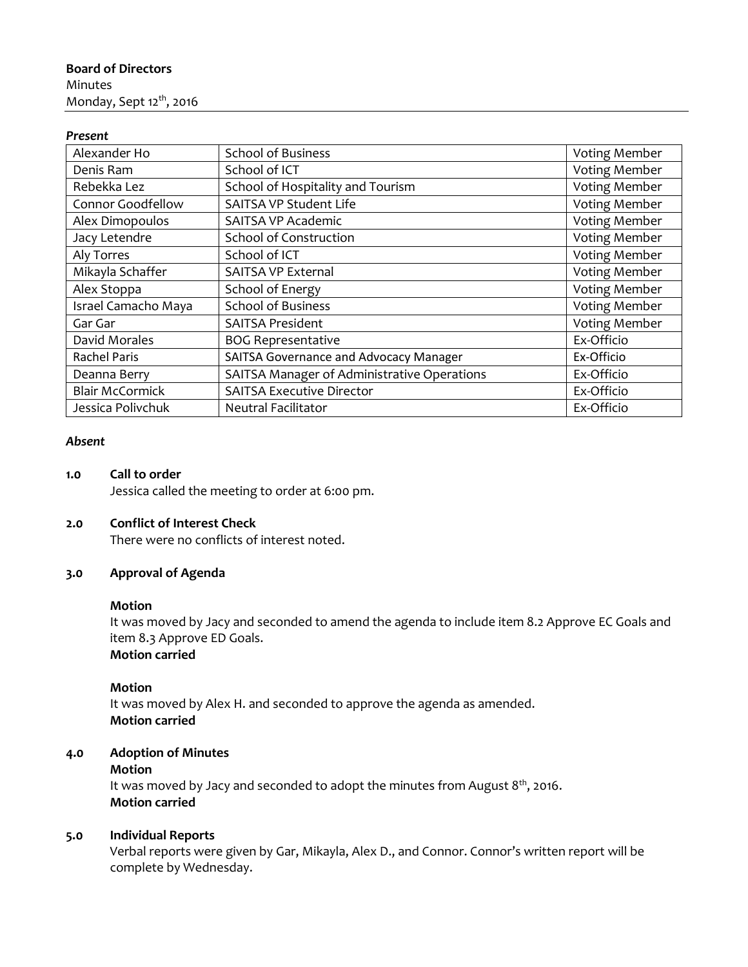# **Board of Directors** Minutes Monday, Sept 12<sup>th</sup>, 2016

#### *Present*

| Alexander Ho           | <b>School of Business</b>                     | Voting Member        |
|------------------------|-----------------------------------------------|----------------------|
| Denis Ram              | School of ICT                                 | <b>Voting Member</b> |
| Rebekka Lez            | School of Hospitality and Tourism             | <b>Voting Member</b> |
| Connor Goodfellow      | SAITSA VP Student Life                        | Voting Member        |
| Alex Dimopoulos        | SAITSA VP Academic                            | <b>Voting Member</b> |
| Jacy Letendre          | School of Construction                        | <b>Voting Member</b> |
| Aly Torres             | School of ICT                                 | Voting Member        |
| Mikayla Schaffer       | <b>SAITSA VP External</b>                     | <b>Voting Member</b> |
| Alex Stoppa            | School of Energy                              | Voting Member        |
| Israel Camacho Maya    | <b>School of Business</b>                     | Voting Member        |
| Gar Gar                | <b>SAITSA President</b>                       | <b>Voting Member</b> |
| David Morales          | <b>BOG Representative</b>                     | Ex-Officio           |
| <b>Rachel Paris</b>    | <b>SAITSA Governance and Advocacy Manager</b> | Ex-Officio           |
| Deanna Berry           | SAITSA Manager of Administrative Operations   | Ex-Officio           |
| <b>Blair McCormick</b> | <b>SAITSA Executive Director</b>              | Ex-Officio           |
| Jessica Polivchuk      | <b>Neutral Facilitator</b>                    | Ex-Officio           |

#### *Absent*

#### **1.0 Call to order**

Jessica called the meeting to order at 6:00 pm.

#### **2.0 Conflict of Interest Check**

There were no conflicts of interest noted.

## **3.0 Approval of Agenda**

### **Motion**

It was moved by Jacy and seconded to amend the agenda to include item 8.2 Approve EC Goals and item 8.3 Approve ED Goals. **Motion carried**

#### **Motion**

It was moved by Alex H. and seconded to approve the agenda as amended. **Motion carried**

# **4.0 Adoption of Minutes**

## **Motion**

It was moved by Jacy and seconded to adopt the minutes from August  $8<sup>th</sup>$ , 2016. **Motion carried**

# **5.0 Individual Reports**

Verbal reports were given by Gar, Mikayla, Alex D., and Connor. Connor's written report will be complete by Wednesday.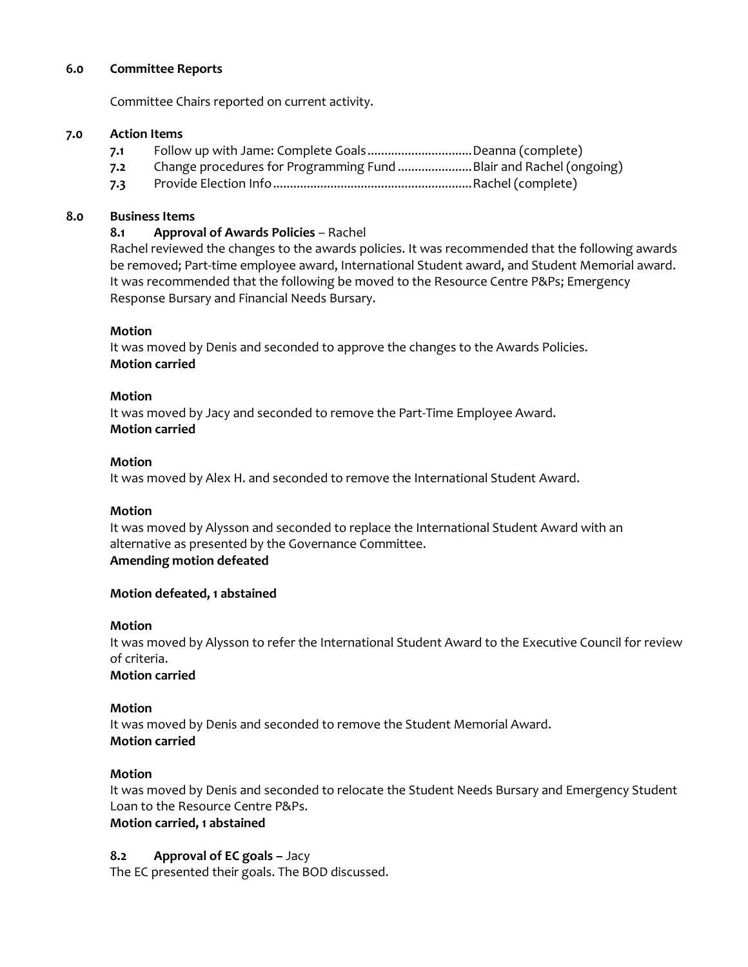#### **6.0 Committee Reports**

Committee Chairs reported on current activity.

#### **7.0 Action Items**

- **7.1** Follow up with Jame: Complete Goals...............................Deanna (complete)
- **7.2** Change procedures for Programming Fund ......................Blair and Rachel (ongoing)
- **7.3** Provide Election Info...........................................................Rachel (complete)

#### **8.0 Business Items**

### **8.1 Approval of Awards Policies** – Rachel

Rachel reviewed the changes to the awards policies. It was recommended that the following awards be removed; Part-time employee award, International Student award, and Student Memorial award. It was recommended that the following be moved to the Resource Centre P&Ps; Emergency Response Bursary and Financial Needs Bursary.

#### **Motion**

It was moved by Denis and seconded to approve the changes to the Awards Policies. **Motion carried**

#### **Motion**

It was moved by Jacy and seconded to remove the Part-Time Employee Award. **Motion carried**

#### **Motion**

It was moved by Alex H. and seconded to remove the International Student Award.

#### **Motion**

It was moved by Alysson and seconded to replace the International Student Award with an alternative as presented by the Governance Committee. **Amending motion defeated**

#### **Motion defeated, 1 abstained**

#### **Motion**

It was moved by Alysson to refer the International Student Award to the Executive Council for review of criteria.

**Motion carried**

## **Motion**

It was moved by Denis and seconded to remove the Student Memorial Award. **Motion carried**

## **Motion**

It was moved by Denis and seconded to relocate the Student Needs Bursary and Emergency Student Loan to the Resource Centre P&Ps.

## **Motion carried, 1 abstained**

## **8.2 Approval of EC goals - Jacy**

The EC presented their goals. The BOD discussed.